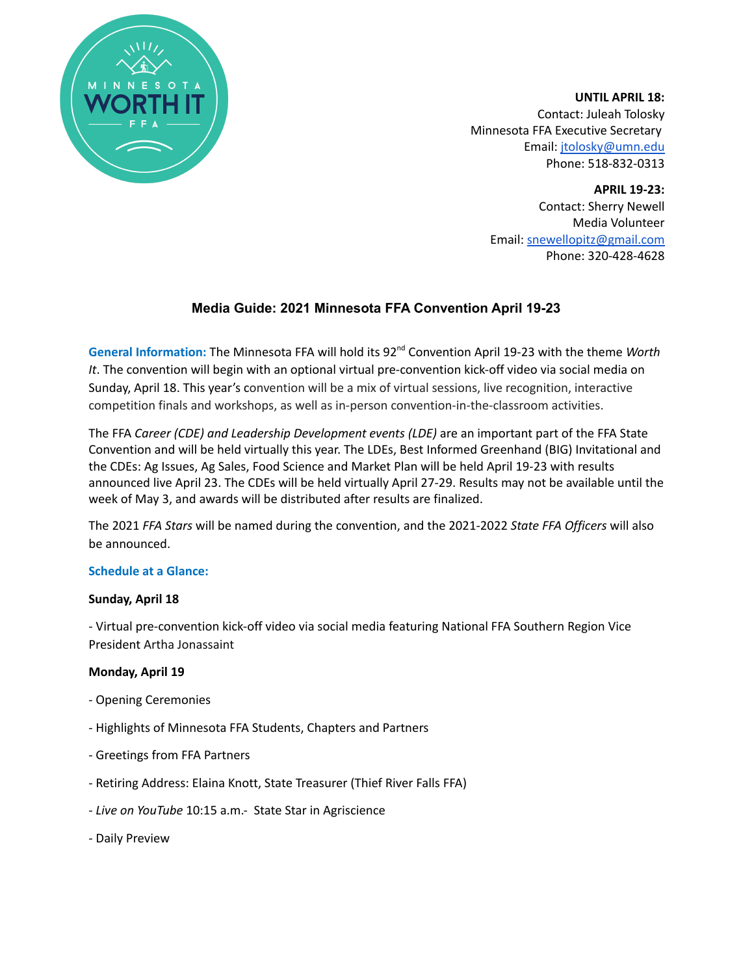

**UNTIL APRIL 18:** Contact: Juleah Tolosky Minnesota FFA Executive Secretary Email: [jtolosky@umn.edu](mailto:jtolosky@umn.edu) Phone: 518-832-0313

> **APRIL 19-23:** Contact: Sherry Newell Media Volunteer Email: [snewellopitz@gmail.com](mailto:snewellopitz@gmail.com) Phone: 320-428-4628

# **Media Guide: 2021 Minnesota FFA Convention April 19-23**

General Information: The Minnesota FFA will hold its 92<sup>nd</sup> Convention April 19-23 with the theme Worth *It*. The convention will begin with an optional virtual pre-convention kick-off video via social media on Sunday, April 18. This year's convention will be a mix of virtual sessions, live recognition, interactive competition finals and workshops, as well as in-person convention-in-the-classroom activities.

The FFA *Career (CDE) and Leadership Development events (LDE)* are an important part of the FFA State Convention and will be held virtually this year. The LDEs, Best Informed Greenhand (BIG) Invitational and the CDEs: Ag Issues, Ag Sales, Food Science and Market Plan will be held April 19-23 with results announced live April 23. The CDEs will be held virtually April 27-29. Results may not be available until the week of May 3, and awards will be distributed after results are finalized.

The 2021 *FFA Stars* will be named during the convention, and the 2021-2022 *State FFA Officers* will also be announced.

## **Schedule at a Glance:**

## **Sunday, April 18**

- Virtual pre-convention kick-off video via social media featuring National FFA Southern Region Vice President Artha Jonassaint

## **Monday, April 19**

- Opening Ceremonies
- Highlights of Minnesota FFA Students, Chapters and Partners
- Greetings from FFA Partners
- Retiring Address: Elaina Knott, State Treasurer (Thief River Falls FFA)
- *Live on YouTube* 10:15 a.m.- State Star in Agriscience
- Daily Preview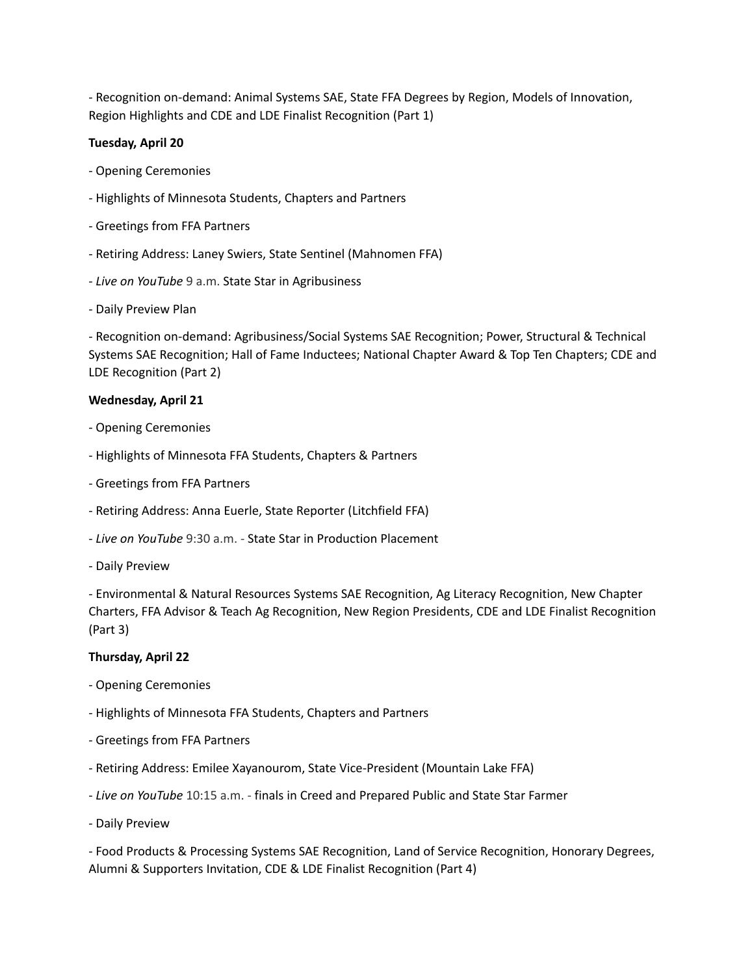- Recognition on-demand: Animal Systems SAE, State FFA Degrees by Region, Models of Innovation, Region Highlights and CDE and LDE Finalist Recognition (Part 1)

## **Tuesday, April 20**

- Opening Ceremonies
- Highlights of Minnesota Students, Chapters and Partners
- Greetings from FFA Partners
- Retiring Address: Laney Swiers, State Sentinel (Mahnomen FFA)
- *Live on YouTube* 9 a.m. State Star in Agribusiness
- Daily Preview Plan

- Recognition on-demand: Agribusiness/Social Systems SAE Recognition; Power, Structural & Technical Systems SAE Recognition; Hall of Fame Inductees; National Chapter Award & Top Ten Chapters; CDE and LDE Recognition (Part 2)

#### **Wednesday, April 21**

- Opening Ceremonies
- Highlights of Minnesota FFA Students, Chapters & Partners
- Greetings from FFA Partners
- Retiring Address: Anna Euerle, State Reporter (Litchfield FFA)
- *Live on YouTube* 9:30 a.m. State Star in Production Placement
- Daily Preview

- Environmental & Natural Resources Systems SAE Recognition, Ag Literacy Recognition, New Chapter Charters, FFA Advisor & Teach Ag Recognition, New Region Presidents, CDE and LDE Finalist Recognition (Part 3)

## **Thursday, April 22**

- Opening Ceremonies
- Highlights of Minnesota FFA Students, Chapters and Partners
- Greetings from FFA Partners
- Retiring Address: Emilee Xayanourom, State Vice-President (Mountain Lake FFA)
- *Live on YouTube* 10:15 a.m. finals in Creed and Prepared Public and State Star Farmer
- Daily Preview

- Food Products & Processing Systems SAE Recognition, Land of Service Recognition, Honorary Degrees, Alumni & Supporters Invitation, CDE & LDE Finalist Recognition (Part 4)